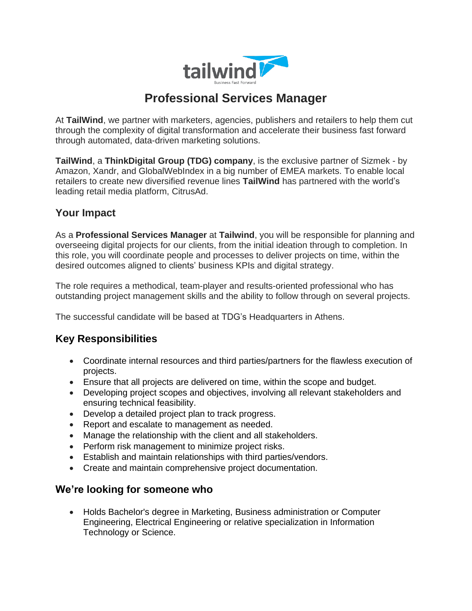

# **Professional Services Manager**

At **TailWind**, we partner with marketers, agencies, publishers and retailers to help them cut through the complexity of digital transformation and accelerate their business fast forward through automated, data-driven marketing solutions.

**TailWind**, a **ThinkDigital Group (TDG) company**, is the exclusive partner of Sizmek - by Amazon, Xandr, and GlobalWebIndex in a big number of EMEA markets. To enable local retailers to create new diversified revenue lines **TailWind** has partnered with the world's leading retail media platform, CitrusAd.

# **Your Impact**

As a **Professional Services Manager** at **Tailwind**, you will be responsible for planning and overseeing digital projects for our clients, from the initial ideation through to completion. In this role, you will coordinate people and processes to deliver projects on time, within the desired outcomes aligned to clients' business KPIs and digital strategy.

The role requires a methodical, team-player and results-oriented professional who has outstanding project management skills and the ability to follow through on several projects.

The successful candidate will be based at TDG's Headquarters in Athens.

# **Key Responsibilities**

- Coordinate internal resources and third parties/partners for the flawless execution of projects.
- Ensure that all projects are delivered on time, within the scope and budget.
- Developing project scopes and objectives, involving all relevant stakeholders and ensuring technical feasibility.
- Develop a detailed project plan to track progress.
- Report and escalate to management as needed.
- Manage the relationship with the client and all stakeholders.
- Perform risk management to minimize project risks.
- Establish and maintain relationships with third parties/vendors.
- Create and maintain comprehensive project documentation.

### **We're looking for someone who**

• Holds Bachelor's degree in Marketing, Business administration or Computer Engineering, Electrical Engineering or relative specialization in Information Technology or Science.